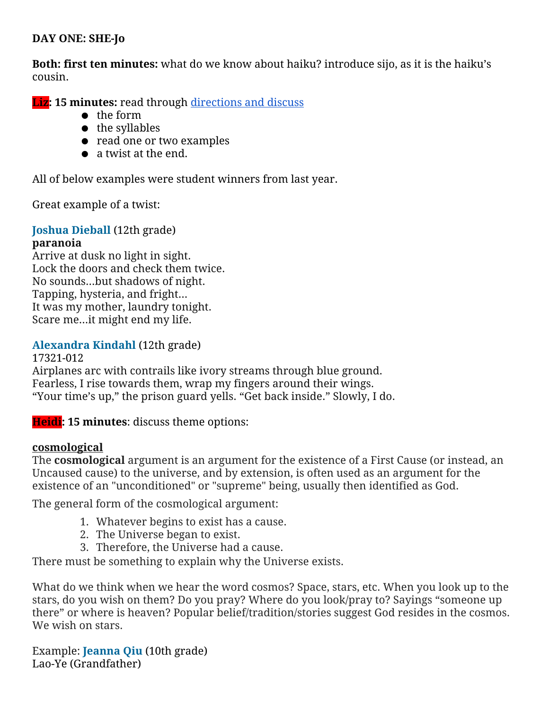## DAY ONE: SHE-Jo

Both: first ten minutes: what do we know about haiku? introduce sijo, as it is the haiku's cousin.

**Liz: 15 minutes:** read through [directions](https://docs.google.com/a/arrowheadschools.org/document/d/1MmXSLMIWvWMnZYuc2tIWGRtXiRrojUi-dN0nTWiPEGw/edit#) and discuss

- the form
- the syllables
- read one or two examples
- a twist at the end.

All of below examples were student winners from last year.

Great example of a twist:

# Joshua Dieball (12th grade)

#### paranoia

Arrive at dusk no light in sight. Lock the doors and check them twice. No sounds...but shadows of night. Tapping, hysteria, and fright... It was my mother, laundry tonight. Scare me...it might end my life.

## Alexandra Kindahl (12th grade)

17321-012 Airplanes arc with contrails like ivory streams through blue ground. Fearless, I rise towards them, wrap my fingers around their wings. "Your time's up," the prison guard yells. "Get back inside." Slowly, I do.

Heidi: 15 minutes: discuss theme options:

#### cosmological

The cosmological argument is an argument for the existence of a First Cause (or instead, an Uncaused cause) to the universe, and by extension, is often used as an argument for the existence of an "unconditioned" or "supreme" being, usually then identified as God.

The general form of the cosmological argument:

- 1. Whatever begins to exist has a cause.
- 2. The Universe began to exist.
- 3. Therefore, the Universe had a cause.

There must be something to explain why the Universe exists.

What do we think when we hear the word cosmos? Space, stars, etc. When you look up to the stars, do you wish on them? Do you pray? Where do you look/pray to? Sayings "someone up there" or where is heaven? Popular belief/tradition/stories suggest God resides in the cosmos. We wish on stars.

Example: Jeanna Qiu (10th grade) Lao-Ye (Grandfather)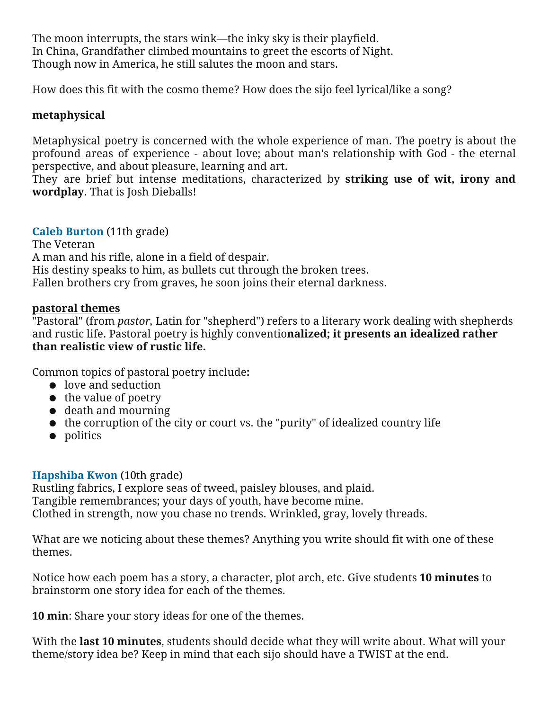The moon interrupts, the stars wink—the inky sky is their playfield. In China, Grandfather climbed mountains to greet the escorts of Night. Though now in America, he still salutes the moon and stars.

How does this fit with the cosmo theme? How does the sijo feel lyrical/like a song?

# metaphysical

Metaphysical poetry is concerned with the whole experience of man. The poetry is about the profound areas of experience - about love; about man's relationship with God - the eternal perspective, and about pleasure, learning and art.

They are brief but intense meditations, characterized by striking use of wit, irony and wordplay. That is Josh Dieballs!

## Caleb Burton (11th grade)

The Veteran A man and his rifle, alone in a field of despair. His destiny speaks to him, as bullets cut through the broken trees. Fallen brothers cry from graves, he soon joins their eternal darkness.

## pastoral themes

"Pastoral" (from *pastor*, Latin for "shepherd") refers to a literary work dealing with shepherds and rustic life. Pastoral poetry is highly conventionalized; it presents an idealized rather than realistic view of rustic life.

Common topics of pastoral poetry include:

- love and seduction
- the value of poetry
- death and mourning
- the corruption of the city or court vs. the "purity" of idealized country life
- politics

#### Hapshiba Kwon (10th grade)

Rustling fabrics, I explore seas of tweed, paisley blouses, and plaid. Tangible remembrances; your days of youth, have become mine. Clothed in strength, now you chase no trends. Wrinkled, gray, lovely threads.

What are we noticing about these themes? Anything you write should fit with one of these themes.

Notice how each poem has a story, a character, plot arch, etc. Give students 10 minutes to brainstorm one story idea for each of the themes.

10 min: Share your story ideas for one of the themes.

With the **last 10 minutes**, students should decide what they will write about. What will your theme/story idea be? Keep in mind that each sijo should have a TWIST at the end.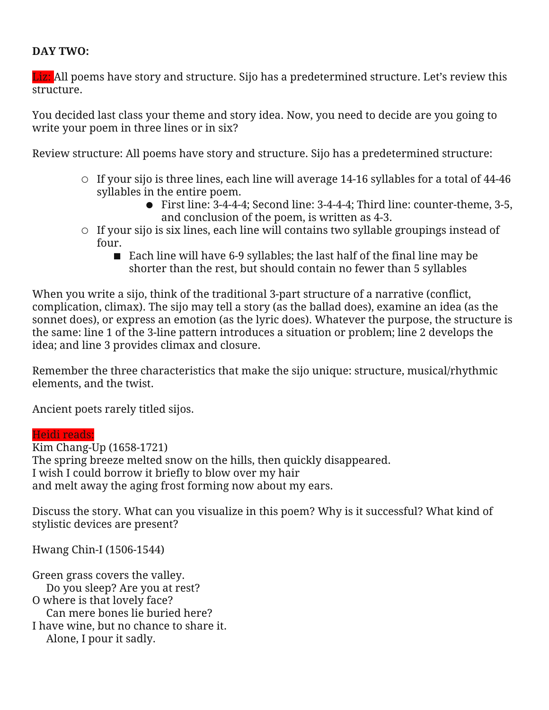#### DAY TWO:

Liz: All poems have story and structure. Sijo has a predetermined structure. Let's review this structure.

You decided last class your theme and story idea. Now, you need to decide are you going to write your poem in three lines or in six?

Review structure: All poems have story and structure. Sijo has a predetermined structure:

- If your sijo is three lines, each line will average 14-16 syllables for a total of 44-46 syllables in the entire poem.
	- First line: 3-4-4-4; Second line: 3-4-4-4; Third line: counter-theme, 3-5, and conclusion of the poem, is written as 4-3.
- $\circ$  If your sijo is six lines, each line will contains two syllable groupings instead of four.
	- Each line will have 6-9 syllables; the last half of the final line may be shorter than the rest, but should contain no fewer than 5 syllables

When you write a sijo, think of the traditional 3-part structure of a narrative (conflict, complication, climax). The sijo may tell a story (as the ballad does), examine an idea (as the sonnet does), or express an emotion (as the lyric does). Whatever the purpose, the structure is the same: line 1 of the 3-line pattern introduces a situation or problem; line 2 develops the idea; and line 3 provides climax and closure.

Remember the three characteristics that make the sijo unique: structure, musical/rhythmic elements, and the twist.

Ancient poets rarely titled sijos.

#### Heidi reads:

Kim Chang-Up (1658-1721) The spring breeze melted snow on the hills, then quickly disappeared. I wish I could borrow it briefly to blow over my hair and melt away the aging frost forming now about my ears.

Discuss the story. What can you visualize in this poem? Why is it successful? What kind of stylistic devices are present?

Hwang Chin-I (1506-1544)

Green grass covers the valley. Do you sleep? Are you at rest? O where is that lovely face? Can mere bones lie buried here? I have wine, but no chance to share it. Alone, I pour it sadly.